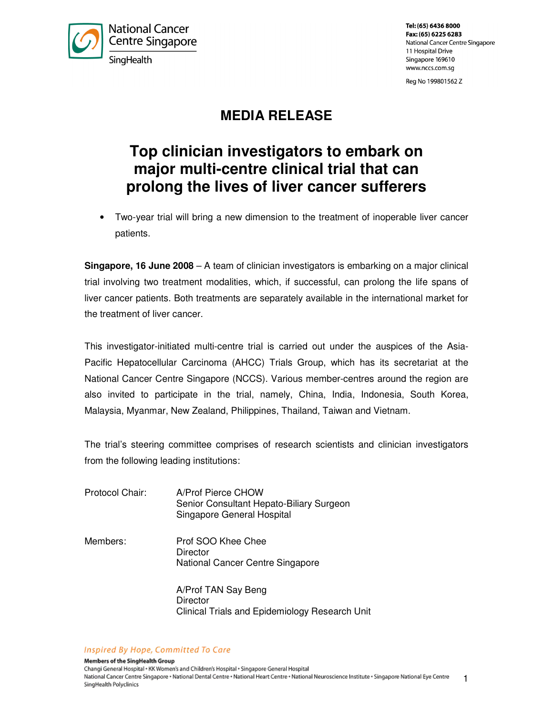

Tel: (65) 6436 8000 Fax: (65) 6225 6283 National Cancer Centre Singapore 11 Hospital Drive Singapore 169610 www.nccs.com.sg

Reg No 199801562 Z

## **MEDIA RELEASE**

# **Top clinician investigators to embark on major multi-centre clinical trial that can prolong the lives of liver cancer sufferers**

• Two-year trial will bring a new dimension to the treatment of inoperable liver cancer patients.

**Singapore, 16 June 2008** – A team of clinician investigators is embarking on a major clinical trial involving two treatment modalities, which, if successful, can prolong the life spans of liver cancer patients. Both treatments are separately available in the international market for the treatment of liver cancer.

This investigator-initiated multi-centre trial is carried out under the auspices of the Asia-Pacific Hepatocellular Carcinoma (AHCC) Trials Group, which has its secretariat at the National Cancer Centre Singapore (NCCS). Various member-centres around the region are also invited to participate in the trial, namely, China, India, Indonesia, South Korea, Malaysia, Myanmar, New Zealand, Philippines, Thailand, Taiwan and Vietnam.

The trial's steering committee comprises of research scientists and clinician investigators from the following leading institutions:

- Protocol Chair: A/Prof Pierce CHOW Senior Consultant Hepato-Biliary Surgeon Singapore General Hospital
- Members: Prof SOO Khee Chee **Director** National Cancer Centre Singapore

 A/Prof TAN Say Beng **Director** Clinical Trials and Epidemiology Research Unit

Inspired By Hope, Committed To Care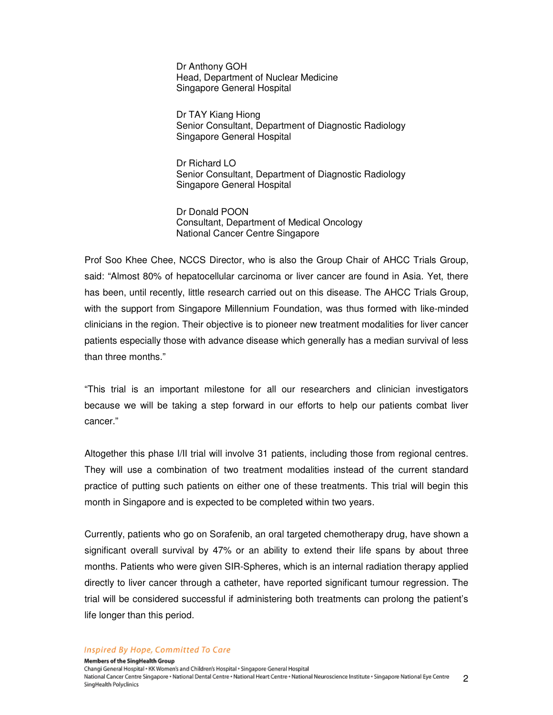Dr Anthony GOH Head, Department of Nuclear Medicine Singapore General Hospital

 Dr TAY Kiang Hiong Senior Consultant, Department of Diagnostic Radiology Singapore General Hospital

 Dr Richard LO Senior Consultant, Department of Diagnostic Radiology Singapore General Hospital

 Dr Donald POON Consultant, Department of Medical Oncology National Cancer Centre Singapore

Prof Soo Khee Chee, NCCS Director, who is also the Group Chair of AHCC Trials Group, said: "Almost 80% of hepatocellular carcinoma or liver cancer are found in Asia. Yet, there has been, until recently, little research carried out on this disease. The AHCC Trials Group, with the support from Singapore Millennium Foundation, was thus formed with like-minded clinicians in the region. Their objective is to pioneer new treatment modalities for liver cancer patients especially those with advance disease which generally has a median survival of less than three months."

"This trial is an important milestone for all our researchers and clinician investigators because we will be taking a step forward in our efforts to help our patients combat liver cancer."

Altogether this phase I/II trial will involve 31 patients, including those from regional centres. They will use a combination of two treatment modalities instead of the current standard practice of putting such patients on either one of these treatments. This trial will begin this month in Singapore and is expected to be completed within two years.

Currently, patients who go on Sorafenib, an oral targeted chemotherapy drug, have shown a significant overall survival by 47% or an ability to extend their life spans by about three months. Patients who were given SIR-Spheres, which is an internal radiation therapy applied directly to liver cancer through a catheter, have reported significant tumour regression. The trial will be considered successful if administering both treatments can prolong the patient's life longer than this period.

#### Inspired By Hope, Committed To Care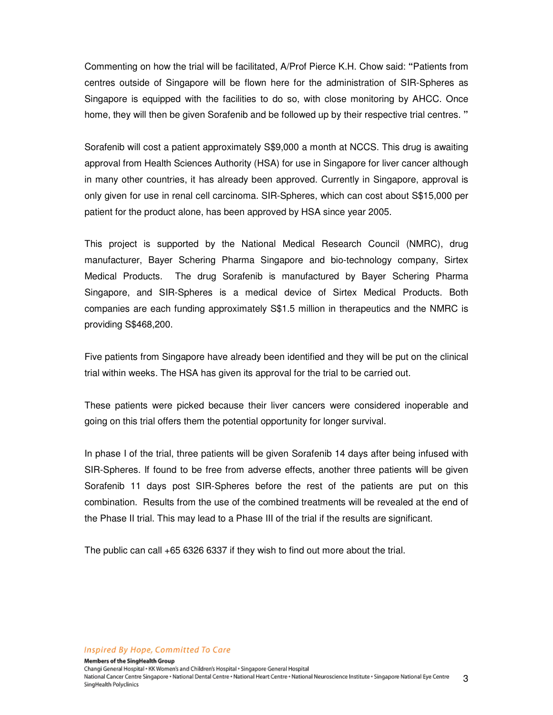Commenting on how the trial will be facilitated, A/Prof Pierce K.H. Chow said: **"**Patients from centres outside of Singapore will be flown here for the administration of SIR-Spheres as Singapore is equipped with the facilities to do so, with close monitoring by AHCC. Once home, they will then be given Sorafenib and be followed up by their respective trial centres. **"** 

Sorafenib will cost a patient approximately S\$9,000 a month at NCCS. This drug is awaiting approval from Health Sciences Authority (HSA) for use in Singapore for liver cancer although in many other countries, it has already been approved. Currently in Singapore, approval is only given for use in renal cell carcinoma. SIR-Spheres, which can cost about S\$15,000 per patient for the product alone, has been approved by HSA since year 2005.

This project is supported by the National Medical Research Council (NMRC), drug manufacturer, Bayer Schering Pharma Singapore and bio-technology company, Sirtex Medical Products. The drug Sorafenib is manufactured by Bayer Schering Pharma Singapore, and SIR-Spheres is a medical device of Sirtex Medical Products. Both companies are each funding approximately S\$1.5 million in therapeutics and the NMRC is providing S\$468,200.

Five patients from Singapore have already been identified and they will be put on the clinical trial within weeks. The HSA has given its approval for the trial to be carried out.

These patients were picked because their liver cancers were considered inoperable and going on this trial offers them the potential opportunity for longer survival.

In phase I of the trial, three patients will be given Sorafenib 14 days after being infused with SIR-Spheres. If found to be free from adverse effects, another three patients will be given Sorafenib 11 days post SIR-Spheres before the rest of the patients are put on this combination. Results from the use of the combined treatments will be revealed at the end of the Phase II trial. This may lead to a Phase III of the trial if the results are significant.

The public can call +65 6326 6337 if they wish to find out more about the trial.

#### Inspired By Hope, Committed To Care

Members of the SingHealth Group Changi General Hospital + KK Women's and Children's Hospital + Singapore General Hospital National Cancer Centre Singapore · National Dental Centre · National Heart Centre · National Neuroscience Institute · Singapore National Eye Centre 3 SingHealth Polyclinics